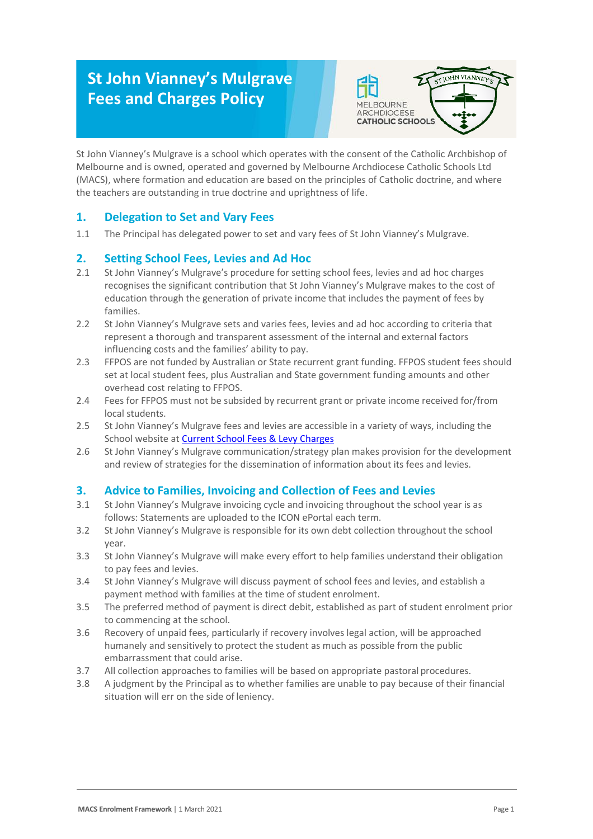# **St John Vianney's Mulgrave Fees and Charges Policy**



St John Vianney's Mulgrave is a school which operates with the consent of the Catholic Archbishop of Melbourne and is owned, operated and governed by Melbourne Archdiocese Catholic Schools Ltd (MACS), where formation and education are based on the principles of Catholic doctrine, and where the teachers are outstanding in true doctrine and uprightness of life.

## **1. Delegation to Set and Vary Fees**

1.1 The Principal has delegated power to set and vary fees of St John Vianney's Mulgrave.

## **2. Setting School Fees, Levies and Ad Hoc**

- 2.1 St John Vianney's Mulgrave's procedure for setting school fees, levies and ad hoc charges recognises the significant contribution that St John Vianney's Mulgrave makes to the cost of education through the generation of private income that includes the payment of fees by families.
- 2.2 St John Vianney's Mulgrave sets and varies fees, levies and ad hoc according to criteria that represent a thorough and transparent assessment of the internal and external factors influencing costs and the families' ability to pay.
- 2.3 FFPOS are not funded by Australian or State recurrent grant funding. FFPOS student fees should set at local student fees, plus Australian and State government funding amounts and other overhead cost relating to FFPOS.
- 2.4 Fees for FFPOS must not be subsided by recurrent grant or private income received for/from local students.
- 2.5 St John Vianney's Mulgrave fees and levies are accessible in a variety of ways, including the School website at [Current School Fees & Levy Charges](https://d35e1c0d-26a0-4bda-bb59-de0484515179.filesusr.com/ugd/e4750f_8613d8134ca4458b97a1fc3796e0ff28.pdf)
- 2.6 St John Vianney's Mulgrave communication/strategy plan makes provision for the development and review of strategies for the dissemination of information about its fees and levies.

### **3. Advice to Families, Invoicing and Collection of Fees and Levies**

- 3.1 St John Vianney's Mulgrave invoicing cycle and invoicing throughout the school year is as follows: Statements are uploaded to the ICON ePortal each term.
- 3.2 St John Vianney's Mulgrave is responsible for its own debt collection throughout the school year.
- 3.3 St John Vianney's Mulgrave will make every effort to help families understand their obligation to pay fees and levies.
- 3.4 St John Vianney's Mulgrave will discuss payment of school fees and levies, and establish a payment method with families at the time of student enrolment.
- 3.5 The preferred method of payment is direct debit, established as part of student enrolment prior to commencing at the school.
- 3.6 Recovery of unpaid fees, particularly if recovery involves legal action, will be approached humanely and sensitively to protect the student as much as possible from the public embarrassment that could arise.
- 3.7 All collection approaches to families will be based on appropriate pastoral procedures.
- 3.8 A judgment by the Principal as to whether families are unable to pay because of their financial situation will err on the side of leniency.